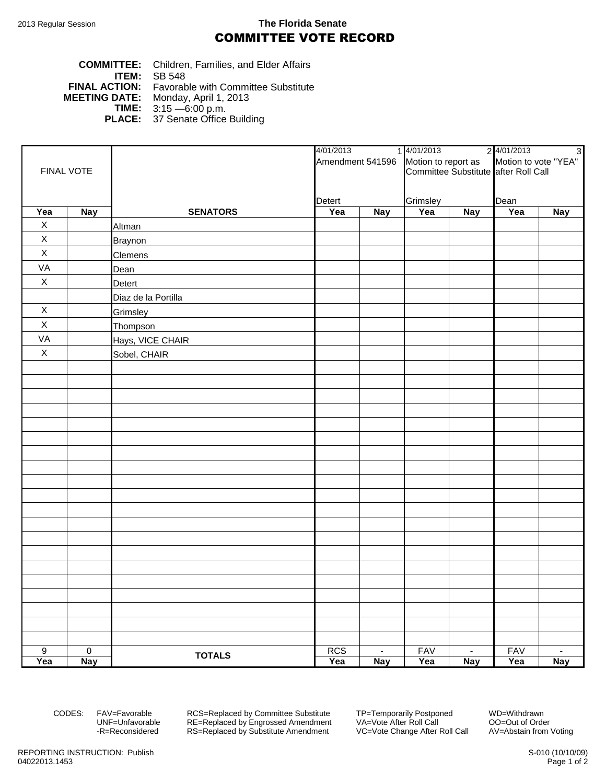## 2013 Regular Session **The Florida Senate** COMMITTEE VOTE RECORD

## **COMMITTEE:** Children, Families, and Elder Affairs **ITEM: SB 548**<br>**FINAL ACTION:** Favorab **FINAL ACTION:** Favorable with Committee Substitute<br>**MEETING DATE:** Monday, April 1, 2013 **DATE:** Monday, April 1, 2013<br>**TIME:** 3:15 - 6:00 p.m. **TIME:** 3:15 —6:00 p.m. **PLACE:** 37 Senate Office Building

|                |                |                     | 4/01/2013<br>1 4/01/2013    |        | Amendment 541596 Motion to report as Motion to vote "YEA"<br>Committee Substitute after Roll Call |            | 2 4/01/2013               | $\overline{3}$ |
|----------------|----------------|---------------------|-----------------------------|--------|---------------------------------------------------------------------------------------------------|------------|---------------------------|----------------|
|                |                |                     |                             |        |                                                                                                   |            |                           |                |
| FINAL VOTE     |                |                     |                             |        |                                                                                                   |            |                           |                |
|                |                |                     |                             |        |                                                                                                   |            |                           |                |
| Yea            |                | <b>SENATORS</b>     | Detert<br>Yea<br><b>Nay</b> |        | Grimsley<br>Yea                                                                                   |            | Dean<br>Yea<br><b>Nay</b> |                |
| $\mathsf X$    | Nay            | Altman              |                             |        |                                                                                                   | <b>Nay</b> |                           |                |
| $\mathsf X$    |                | <b>Braynon</b>      |                             |        |                                                                                                   |            |                           |                |
| $\mathsf X$    |                | Clemens             |                             |        |                                                                                                   |            |                           |                |
| VA             |                | Dean                |                             |        |                                                                                                   |            |                           |                |
| $\mathsf X$    |                | Detert              |                             |        |                                                                                                   |            |                           |                |
|                |                |                     |                             |        |                                                                                                   |            |                           |                |
| $\mathsf X$    |                | Diaz de la Portilla |                             |        |                                                                                                   |            |                           |                |
| $\mathsf X$    |                | Grimsley            |                             |        |                                                                                                   |            |                           |                |
| VA             |                | Thompson            |                             |        |                                                                                                   |            |                           |                |
| $\mathsf X$    |                | Hays, VICE CHAIR    |                             |        |                                                                                                   |            |                           |                |
|                |                | Sobel, CHAIR        |                             |        |                                                                                                   |            |                           |                |
|                |                |                     |                             |        |                                                                                                   |            |                           |                |
|                |                |                     |                             |        |                                                                                                   |            |                           |                |
|                |                |                     |                             |        |                                                                                                   |            |                           |                |
|                |                |                     |                             |        |                                                                                                   |            |                           |                |
|                |                |                     |                             |        |                                                                                                   |            |                           |                |
|                |                |                     |                             |        |                                                                                                   |            |                           |                |
|                |                |                     |                             |        |                                                                                                   |            |                           |                |
|                |                |                     |                             |        |                                                                                                   |            |                           |                |
|                |                |                     |                             |        |                                                                                                   |            |                           |                |
|                |                |                     |                             |        |                                                                                                   |            |                           |                |
|                |                |                     |                             |        |                                                                                                   |            |                           |                |
|                |                |                     |                             |        |                                                                                                   |            |                           |                |
|                |                |                     |                             |        |                                                                                                   |            |                           |                |
|                |                |                     |                             |        |                                                                                                   |            |                           |                |
|                |                |                     |                             |        |                                                                                                   |            |                           |                |
|                |                |                     |                             |        |                                                                                                   |            |                           |                |
|                |                |                     |                             |        |                                                                                                   |            |                           |                |
|                |                |                     |                             |        |                                                                                                   |            |                           |                |
|                |                |                     |                             |        |                                                                                                   |            |                           |                |
|                |                |                     |                             |        |                                                                                                   |            |                           |                |
| $\overline{9}$ | $\overline{0}$ | <b>TOTALS</b>       | <b>RCS</b>                  | $\sim$ | <b>FAV</b>                                                                                        | $\sim$     | <b>FAV</b>                | $\sim$         |
| Yea            | <b>Nay</b>     |                     | Yea                         | Nay    | Yea                                                                                               | <b>Nay</b> | Yea                       | <b>Nay</b>     |

CODES: FAV=Favorable RCS=Replaced by Committee Substitute TP=Temporarily Postponed WD=Withdrawn<br>UNF=Unfavorable RE=Replaced by Engrossed Amendment VA=Vote After Roll Call CO=Out of Order UNF=Unfavorable RE=Replaced by Engrossed Amendment<br>-R=Reconsidered RS=Replaced by Substitute Amendment RS=Replaced by Substitute Amendment VC=Vote Change After Roll Call AV=Abstain from Voting